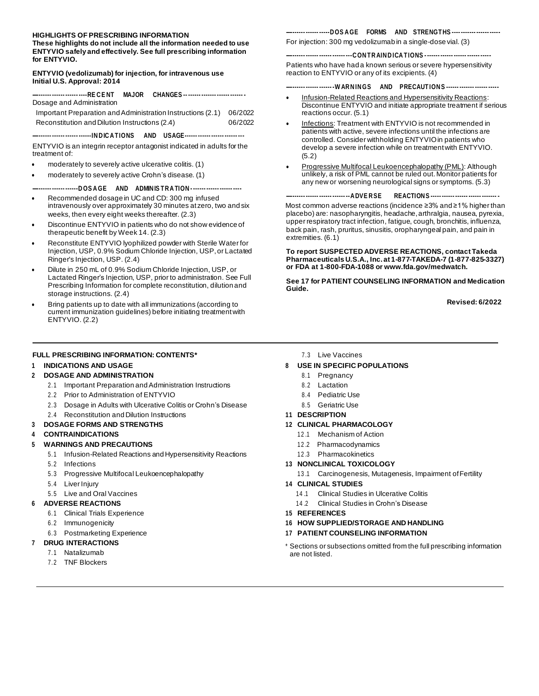#### **HIGHLIGHTS OF PRESCRIBING INFORMATION**

**These highlights do not include all the information needed to use ENTYVIO safely and effectively. See full prescribing information for ENTYVIO.**

#### **ENTYVIO (vedolizumab) for injection, for intravenous use Initial U.S. Approval: 2014**

|                           | ------------------------RECENT MAJOR CHANGES -- <i>------ -------------------</i> |
|---------------------------|-----------------------------------------------------------------------------------|
| Dosage and Administration |                                                                                   |

Important Preparation and Administration Instructions (2.1) 06/2022 Reconstitution and Dilution Instructions (2.4) 06/2022

**---------- ------ ------ ------IN D IC A TIONS AND USAGE------ ------ ------ ------ ---**

ENTYVIO is an integrin receptor antagonist indicated in adults for the treatment of:

- moderately to severely active ulcerative colitis. (1)
- moderately to severely active Crohn's disease. (1)

#### **---------- ------ ------D OS A GE AND ADMIN IS TR A TION - ------ ------ ------ ----**

- Recommended dosage in UC and CD: 300 mg infused intravenously over approximately 30 minutes at zero, two and six weeks, then every eight weeks thereafter. (2.3)
- Discontinue ENTYVIO in patients who do not show evidence of therapeutic benefit by Week 14. (2.3)
- Reconstitute ENTYVIO lyophilized powder with Sterile Water for Injection, USP, 0.9% Sodium Chloride Injection, USP,or Lactated Ringer's Injection, USP. (2.4)
- Dilute in 250 mL of 0.9% Sodium Chloride Injection, USP, or Lactated Ringer's Injection, USP, prior to administration. See Full Prescribing Information for complete reconstitution, dilution and storage instructions. (2.4)
- Bring patients up to date with all immunizations (according to current immunization guidelines) before initiating treatmentwith ENTYVIO. (2.2)

#### **---------- ------ -----D OS A GE FORMS AND STRENGTHS ---- ------- ------ -----**

For injection: 300 mg vedolizumab in a single-dose vial. (3)

#### **---------- ------ ------ ------ ---C ON TR AIN D ICA TIONS - ------ ------ ------ ------ -----**

Patients who have had a known serious or severe hypersensitivity reaction to ENTYVIO or any of its excipients. (4)

#### **---------- ------ ------ -W AR N IN GS AND PRECAUTION S ------ ------- ------ -----**

- Infusion-Related Reactions and Hypersensitivity Reactions: **Discontinue ENTYVIO and initiate appropriate treatment if serious** reactions occur. (5.1)
- Infections: Treatment with ENTYVIO is not recommended in patients with active, severe infections until the infections are controlled. Consider withholding ENTYVIO in patients who develop a severe infection while on treatmentwith ENTYVIO. (5.2)
- Progressive Multifocal Leukoencephalopathy (PML): Although unlikely, a risk of PML cannot be ruled out.Monitor patients for any new or worsening neurological signs or symptoms. (5.3)

#### **---------- ------ ------ ------ --A DVE R SE REACTION S ----- ------ ------ ------ ------- -**

Most common adverse reactions (incidence ≥3% and ≥1% higher than placebo) are: nasopharyngitis, headache, arthralgia, nausea, pyrexia, upper respiratory tract infection, fatigue, cough, bronchitis, influenza, back pain, rash, pruritus, sinusitis, oropharyngeal pain, and pain in extremities. (6.1)

**To report SUSPECTED ADVERSE REACTIONS, contact Takeda Pharmaceuticals U.S.A., Inc.at 1-877-TAKEDA-7 (1-877-825-3327) or FDA at 1-800-FDA-1088 o[r www.fda.gov/medwatch.](http://www.fda.gov/medwatch)**

**See 17 for PATIENT COUNSELING INFORMATION and Medication Guide.**

**Revised: 6/2022**

#### **FULL PRESCRIBING INFORMATION: CONTENTS\***

#### **1 INDICATIONS AND USAGE**

#### **2 DOSAGE AND ADMINISTRATION**

- 2.1 Important Preparation and Administration Instructions
- 2.2 Prior to Administration of ENTYVIO
- 2.3 Dosage in Adults with Ulcerative Colitis or Crohn's Disease
- 2.4 Reconstitution and Dilution Instructions

#### **3 DOSAGE FORMS AND STRENGTHS**

#### **4 CONTRAINDICATIONS**

- **5 WARNINGS AND PRECAUTIONS**
	- 5.1 Infusion-Related Reactions and Hypersensitivity Reactions
	- 5.2 Infections
	- 5.3 Progressive Multifocal Leukoencephalopathy
	- 5.4 Liver Injury
	- 5.5 Live and Oral Vaccines

#### **6 ADVERSE REACTIONS**

- 6.1 Clinical Trials Experience
- 6.2 Immunogenicity
- 6.3 Postmarketing Experience

#### **7 DRUG INTERACTIONS**

- 7.1 Natalizumab
- 7.2 TNF Blockers

7.3 Live Vaccines

#### **8 USE IN SPECIFIC POPULATIONS**

- 8.1 Pregnancy
- 8.2 Lactation
- 8.4 Pediatric Use
- 8.5 Geriatric Use
- **11 DESCRIPTION**

#### **12 CLINICAL PHARMACOLOGY**

- 12 .1 Mechanism of Action
- 12 .2 Pharmacodynamics
- 12 .3 Pharmacokinetics
- **13 NONCLINICAL TOXICOLOGY**
	- 13 .1 Carcinogenesis, Mutagenesis, Impairment ofFertility
- **14 CLINICAL STUDIES**
	- 14 .1 Clinical Studies in Ulcerative Colitis
	- 14 .2 Clinical Studies in Crohn's Disease
- **15 REFERENCES**
- **16 HOW SUPPLIED/STORAGE AND HANDLING**
- **17 PATIENT COUNSELING INFORMATION**
- \* Sections or subsections omitted from the full prescribing information are not listed.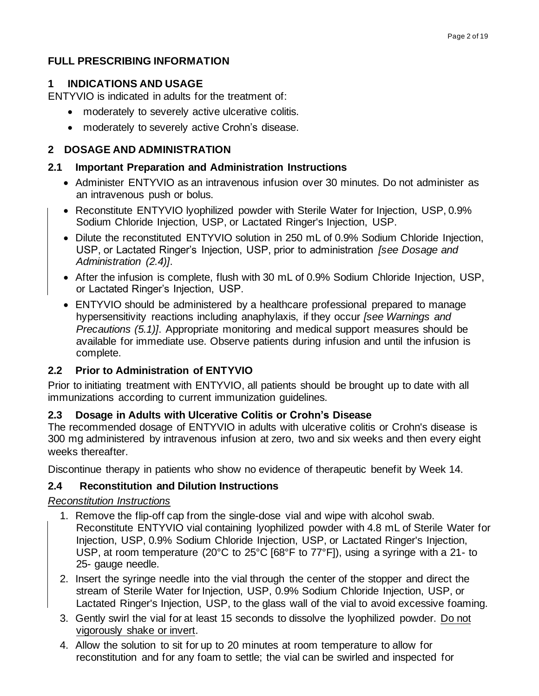# **FULL PRESCRIBING INFORMATION**

# **1 INDICATIONS AND USAGE**

ENTYVIO is indicated in adults for the treatment of:

- moderately to severely active ulcerative colitis.
- moderately to severely active Crohn's disease.

# **2 DOSAGE AND ADMINISTRATION**

## **2.1 Important Preparation and Administration Instructions**

- Administer ENTYVIO as an intravenous infusion over 30 minutes. Do not administer as an intravenous push or bolus.
- Reconstitute ENTYVIO lyophilized powder with Sterile Water for Injection, USP, 0.9% Sodium Chloride Injection, USP, or Lactated Ringer's Injection, USP.
- Dilute the reconstituted ENTYVIO solution in 250 mL of 0.9% Sodium Chloride Injection, USP, or Lactated Ringer's Injection, USP, prior to administration *[see Dosage and Administration (2.4)]*.
- After the infusion is complete, flush with 30 mL of 0.9% Sodium Chloride Injection, USP, or Lactated Ringer's Injection, USP.
- ENTYVIO should be administered by a healthcare professional prepared to manage hypersensitivity reactions including anaphylaxis, if they occur *[see Warnings and Precautions (5.1)]*. Appropriate monitoring and medical support measures should be available for immediate use. Observe patients during infusion and until the infusion is complete.

# **2.2 Prior to Administration of ENTYVIO**

Prior to initiating treatment with ENTYVIO, all patients should be brought up to date with all immunizations according to current immunization guidelines.

# **2.3 Dosage in Adults with Ulcerative Colitis or Crohn's Disease**

The recommended dosage of ENTYVIO in adults with ulcerative colitis or Crohn's disease is 300 mg administered by intravenous infusion at zero, two and six weeks and then every eight weeks thereafter.

Discontinue therapy in patients who show no evidence of therapeutic benefit by Week 14.

# **2.4 Reconstitution and Dilution Instructions**

## *Reconstitution Instructions*

- 1. Remove the flip-off cap from the single-dose vial and wipe with alcohol swab. Reconstitute ENTYVIO vial containing lyophilized powder with 4.8 mL of Sterile Water for Injection, USP, 0.9% Sodium Chloride Injection, USP, or Lactated Ringer's Injection, USP, at room temperature (20°C to 25°C [68°F to 77°F]), using a syringe with a 21- to 25- gauge needle.
- 2. Insert the syringe needle into the vial through the center of the stopper and direct the stream of Sterile Water for Injection, USP, 0.9% Sodium Chloride Injection, USP, or Lactated Ringer's Injection, USP, to the glass wall of the vial to avoid excessive foaming.
- 3. Gently swirl the vial for at least 15 seconds to dissolve the lyophilized powder. Do not vigorously shake or invert.
- 4. Allow the solution to sit for up to 20 minutes at room temperature to allow for reconstitution and for any foam to settle; the vial can be swirled and inspected for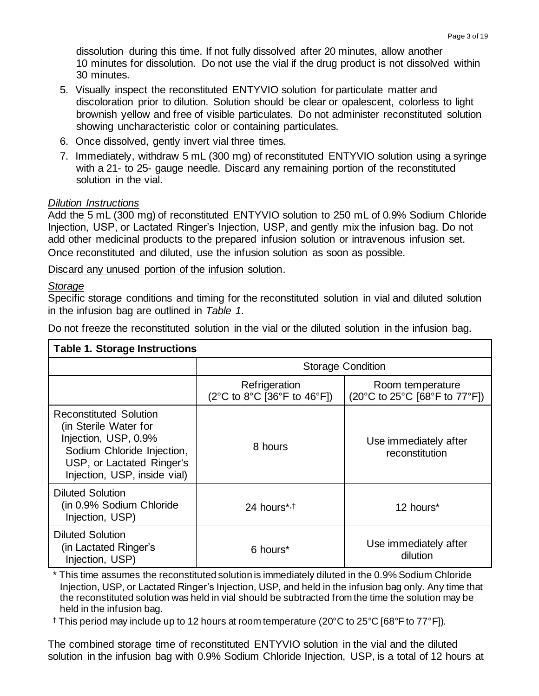dissolution during this time. If not fully dissolved after 20 minutes, allow another 10 minutes for dissolution. Do not use the vial if the drug product is not dissolved within 30 minutes.

- 5. Visually inspect the reconstituted ENTYVIO solution for particulate matter and discoloration prior to dilution. Solution should be clear or opalescent, colorless to light brownish yellow and free of visible particulates. Do not administer reconstituted solution showing uncharacteristic color or containing particulates.
- 6. Once dissolved, gently invert vial three times.
- 7. Immediately, withdraw 5 mL (300 mg) of reconstituted ENTYVIO solution using a syringe with a 21- to 25- gauge needle. Discard any remaining portion of the reconstituted solution in the vial.

## *Dilution Instructions*

Add the 5 mL (300 mg) of reconstituted ENTYVIO solution to 250 mL of 0.9% Sodium Chloride Injection, USP, or Lactated Ringer's Injection, USP, and gently mix the infusion bag. Do not add other medicinal products to the prepared infusion solution or intravenous infusion set. Once reconstituted and diluted, use the infusion solution as soon as possible.

Discard any unused portion of the infusion solution.

## *Storage*

Specific storage conditions and timing for the reconstituted solution in vial and diluted solution in the infusion bag are outlined in *Table 1*.

Do not freeze the reconstituted solution in the vial or the diluted solution in the infusion bag.

| <b>Table 1. Storage Instructions</b>                                                                                                                                      |                                                                                     |                                                                                              |  |  |
|---------------------------------------------------------------------------------------------------------------------------------------------------------------------------|-------------------------------------------------------------------------------------|----------------------------------------------------------------------------------------------|--|--|
|                                                                                                                                                                           | <b>Storage Condition</b>                                                            |                                                                                              |  |  |
|                                                                                                                                                                           | Refrigeration<br>$(2^{\circ}C$ to $8^{\circ}C$ [36 $^{\circ}F$ to 46 $^{\circ}F$ ]) | Room temperature<br>$(20^{\circ}$ C to 25 $^{\circ}$ C [68 $^{\circ}$ F to 77 $^{\circ}$ F]) |  |  |
| <b>Reconstituted Solution</b><br>(in Sterile Water for<br>Injection, USP, 0.9%<br>Sodium Chloride Injection,<br>USP, or Lactated Ringer's<br>Injection, USP, inside vial) | 8 hours                                                                             | Use immediately after<br>reconstitution                                                      |  |  |
| <b>Diluted Solution</b><br>(in 0.9% Sodium Chloride<br>Injection, USP)                                                                                                    | 24 hours* <sub>1</sub>                                                              | 12 hours*                                                                                    |  |  |
| <b>Diluted Solution</b><br>(in Lactated Ringer's<br>Injection, USP)                                                                                                       | 6 hours <sup>*</sup>                                                                | Use immediately after<br>dilution                                                            |  |  |

\* This time assumes the reconstituted solution is immediately diluted in the 0.9% Sodium Chloride Injection, USP, or Lactated Ringer's Injection, USP, and held in the infusion bag only. Any time that the reconstituted solution was held in vial should be subtracted from the time the solution may be held in the infusion bag.

† This period may include up to 12 hours at room temperature (20°C to 25°C [68°F to 77°F]).

The combined storage time of reconstituted ENTYVIO solution in the vial and the diluted solution in the infusion bag with 0.9% Sodium Chloride Injection, USP, is a total of 12 hours at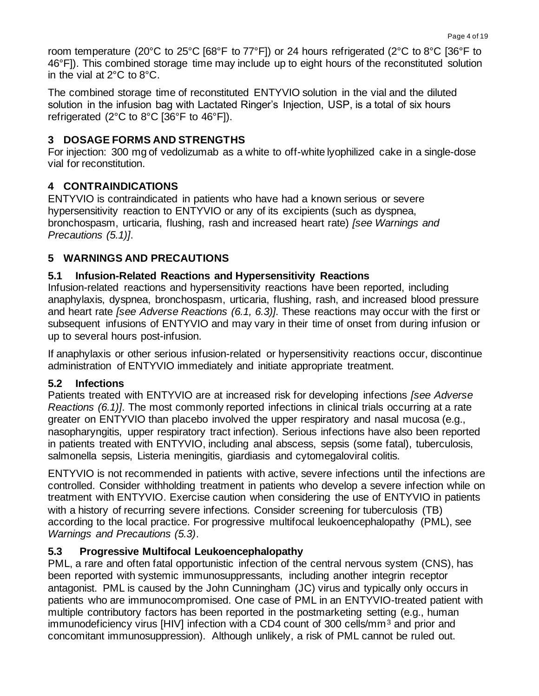room temperature (20°C to 25°C [68°F to 77°F]) or 24 hours refrigerated (2°C to 8°C [36°F to 46°F]). This combined storage time may include up to eight hours of the reconstituted solution in the vial at 2°C to 8°C.

The combined storage time of reconstituted ENTYVIO solution in the vial and the diluted solution in the infusion bag with Lactated Ringer's Injection, USP, is a total of six hours refrigerated (2°C to 8°C [36°F to 46°F]).

## **3 DOSAGE FORMS AND STRENGTHS**

For injection: 300 mg of vedolizumab as a white to off-white lyophilized cake in a single-dose vial for reconstitution.

# **4 CONTRAINDICATIONS**

ENTYVIO is contraindicated in patients who have had a known serious or severe hypersensitivity reaction to ENTYVIO or any of its excipients (such as dyspnea, bronchospasm, urticaria, flushing, rash and increased heart rate) *[see Warnings and Precautions (5.1)]*.

# **5 WARNINGS AND PRECAUTIONS**

## **5.1 Infusion-Related Reactions and Hypersensitivity Reactions**

Infusion-related reactions and hypersensitivity reactions have been reported, including anaphylaxis, dyspnea, bronchospasm, urticaria, flushing, rash, and increased blood pressure and heart rate *[see Adverse Reactions (6.1, 6.3)]*. These reactions may occur with the first or subsequent infusions of ENTYVIO and may vary in their time of onset from during infusion or up to several hours post-infusion.

If anaphylaxis or other serious infusion-related or hypersensitivity reactions occur, discontinue administration of ENTYVIO immediately and initiate appropriate treatment.

## **5.2 Infections**

Patients treated with ENTYVIO are at increased risk for developing infections *[see Adverse Reactions (6.1)]*. The most commonly reported infections in clinical trials occurring at a rate greater on ENTYVIO than placebo involved the upper respiratory and nasal mucosa (e.g., nasopharyngitis, upper respiratory tract infection). Serious infections have also been reported in patients treated with ENTYVIO, including anal abscess, sepsis (some fatal), tuberculosis, salmonella sepsis, Listeria meningitis, giardiasis and cytomegaloviral colitis.

ENTYVIO is not recommended in patients with active, severe infections until the infections are controlled. Consider withholding treatment in patients who develop a severe infection while on treatment with ENTYVIO. Exercise caution when considering the use of ENTYVIO in patients with a history of recurring severe infections. Consider screening for tuberculosis (TB) according to the local practice. For progressive multifocal leukoencephalopathy (PML), see *Warnings and Precautions (5.3)*.

# **5.3 Progressive Multifocal Leukoencephalopathy**

PML, a rare and often fatal opportunistic infection of the central nervous system (CNS), has been reported with systemic immunosuppressants, including another integrin receptor antagonist. PML is caused by the John Cunningham (JC) virus and typically only occurs in patients who are immunocompromised. One case of PML in an ENTYVIO-treated patient with multiple contributory factors has been reported in the postmarketing setting (e.g., human immunodeficiency virus [HIV] infection with a CD4 count of 300 cells/mm<sup>3</sup> and prior and concomitant immunosuppression). Although unlikely, a risk of PML cannot be ruled out.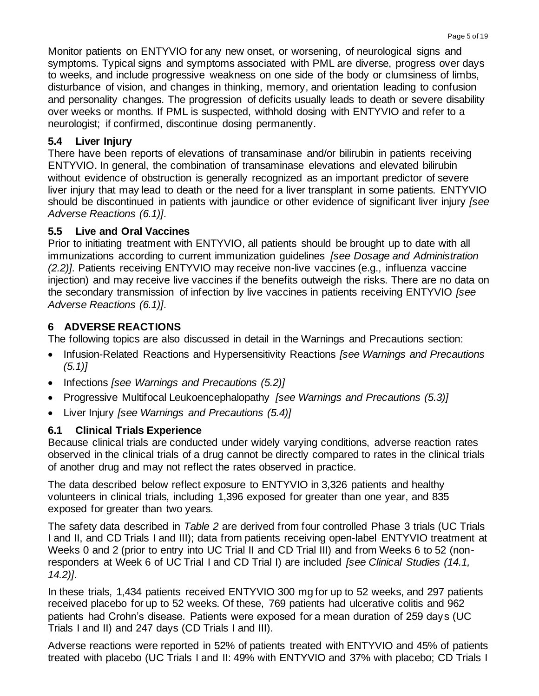Monitor patients on ENTYVIO for any new onset, or worsening, of neurological signs and symptoms. Typical signs and symptoms associated with PML are diverse, progress over days to weeks, and include progressive weakness on one side of the body or clumsiness of limbs, disturbance of vision, and changes in thinking, memory, and orientation leading to confusion and personality changes. The progression of deficits usually leads to death or severe disability over weeks or months. If PML is suspected, withhold dosing with ENTYVIO and refer to a neurologist; if confirmed, discontinue dosing permanently.

## **5.4 Liver Injury**

There have been reports of elevations of transaminase and/or bilirubin in patients receiving ENTYVIO. In general, the combination of transaminase elevations and elevated bilirubin without evidence of obstruction is generally recognized as an important predictor of severe liver injury that may lead to death or the need for a liver transplant in some patients. ENTYVIO should be discontinued in patients with jaundice or other evidence of significant liver injury *[see Adverse Reactions (6.1)]*.

## **5.5 Live and Oral Vaccines**

Prior to initiating treatment with ENTYVIO, all patients should be brought up to date with all immunizations according to current immunization guidelines *[see Dosage and Administration (2.2)]*. Patients receiving ENTYVIO may receive non-live vaccines (e.g., influenza vaccine injection) and may receive live vaccines if the benefits outweigh the risks. There are no data on the secondary transmission of infection by live vaccines in patients receiving ENTYVIO *[see Adverse Reactions (6.1)]*.

# **6 ADVERSE REACTIONS**

The following topics are also discussed in detail in the Warnings and Precautions section:

- Infusion-Related Reactions and Hypersensitivity Reactions *[see Warnings and Precautions (5.1)]*
- Infections *[see Warnings and Precautions (5.2)]*
- Progressive Multifocal Leukoencephalopathy *[see Warnings and Precautions (5.3)]*
- Liver Injury *[see Warnings and Precautions (5.4)]*

# **6.1 Clinical Trials Experience**

Because clinical trials are conducted under widely varying conditions, adverse reaction rates observed in the clinical trials of a drug cannot be directly compared to rates in the clinical trials of another drug and may not reflect the rates observed in practice.

The data described below reflect exposure to ENTYVIO in 3,326 patients and healthy volunteers in clinical trials, including 1,396 exposed for greater than one year, and 835 exposed for greater than two years.

The safety data described in *Table 2* are derived from four controlled Phase 3 trials (UC Trials I and II, and CD Trials I and III); data from patients receiving open-label ENTYVIO treatment at Weeks 0 and 2 (prior to entry into UC Trial II and CD Trial III) and from Weeks 6 to 52 (nonresponders at Week 6 of UC Trial I and CD Trial I) are included *[see Clinical Studies (14.1, 14.2)]*.

In these trials, 1,434 patients received ENTYVIO 300 mg for up to 52 weeks, and 297 patients received placebo for up to 52 weeks. Of these, 769 patients had ulcerative colitis and 962 patients had Crohn's disease. Patients were exposed for a mean duration of 259 days (UC Trials I and II) and 247 days (CD Trials I and III).

Adverse reactions were reported in 52% of patients treated with ENTYVIO and 45% of patients treated with placebo (UC Trials I and II: 49% with ENTYVIO and 37% with placebo; CD Trials I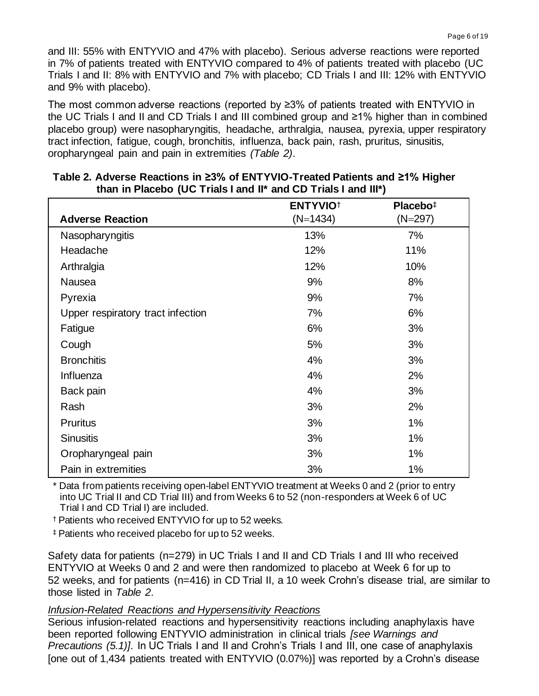and III: 55% with ENTYVIO and 47% with placebo). Serious adverse reactions were reported in 7% of patients treated with ENTYVIO compared to 4% of patients treated with placebo (UC Trials I and II: 8% with ENTYVIO and 7% with placebo; CD Trials I and III: 12% with ENTYVIO and 9% with placebo).

The most common adverse reactions (reported by ≥3% of patients treated with ENTYVIO in the UC Trials I and II and CD Trials I and III combined group and ≥1% higher than in combined placebo group) were nasopharyngitis, headache, arthralgia, nausea, pyrexia, upper respiratory tract infection, fatigue, cough, bronchitis, influenza, back pain, rash, pruritus, sinusitis, oropharyngeal pain and pain in extremities *(Table 2)*.

| <b>Adverse Reaction</b>           | <b>ENTYVIO<sup>+</sup></b><br>$(N=1434)$ | Placebo <sup>‡</sup><br>$(N=297)$ |
|-----------------------------------|------------------------------------------|-----------------------------------|
|                                   |                                          |                                   |
| Nasopharyngitis                   | 13%                                      | 7%                                |
| Headache                          | 12%                                      | 11%                               |
| Arthralgia                        | 12%                                      | 10%                               |
| Nausea                            | 9%                                       | 8%                                |
| Pyrexia                           | 9%                                       | 7%                                |
| Upper respiratory tract infection | 7%                                       | 6%                                |
| Fatigue                           | 6%                                       | 3%                                |
| Cough                             | 5%                                       | 3%                                |
| <b>Bronchitis</b>                 | 4%                                       | 3%                                |
| Influenza                         | 4%                                       | 2%                                |
| Back pain                         | 4%                                       | 3%                                |
| Rash                              | 3%                                       | 2%                                |
| <b>Pruritus</b>                   | 3%                                       | $1\%$                             |
| <b>Sinusitis</b>                  | 3%                                       | 1%                                |
| Oropharyngeal pain                | 3%                                       | $1\%$                             |
| Pain in extremities               | 3%                                       | 1%                                |

### **Table 2. Adverse Reactions in ≥3% of ENTYVIO-Treated Patients and ≥1% Higher than in Placebo (UC Trials I and II\* and CD Trials I and III\*)**

\* Data from patients receiving open-label ENTYVIO treatment at Weeks 0 and 2 (prior to entry into UC Trial II and CD Trial III) and from Weeks 6 to 52 (non-responders at Week 6 of UC Trial I and CD Trial I) are included.

† Patients who received ENTYVIO for up to 52 weeks.

‡ Patients who received placebo for up to 52 weeks.

Safety data for patients (n=279) in UC Trials I and II and CD Trials I and III who received ENTYVIO at Weeks 0 and 2 and were then randomized to placebo at Week 6 for up to 52 weeks, and for patients (n=416) in CD Trial II, a 10 week Crohn's disease trial, are similar to those listed in *Table 2*.

#### *Infusion-Related Reactions and Hypersensitivity Reactions*

Serious infusion-related reactions and hypersensitivity reactions including anaphylaxis have been reported following ENTYVIO administration in clinical trials *[see Warnings and Precautions (5.1)]*. In UC Trials I and II and Crohn's Trials I and III, one case of anaphylaxis [one out of 1,434 patients treated with ENTYVIO (0.07%)] was reported by a Crohn's disease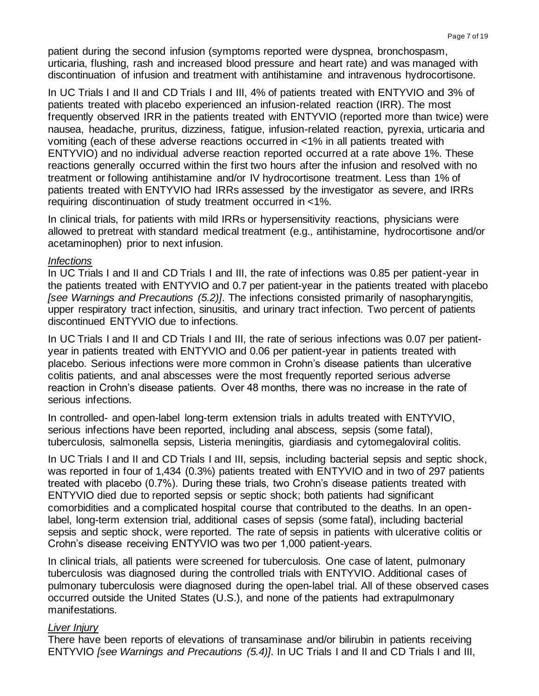patient during the second infusion (symptoms reported were dyspnea, bronchospasm, urticaria, flushing, rash and increased blood pressure and heart rate) and was managed with discontinuation of infusion and treatment with antihistamine and intravenous hydrocortisone.

In UC Trials I and II and CD Trials I and III, 4% of patients treated with ENTYVIO and 3% of patients treated with placebo experienced an infusion-related reaction (IRR). The most frequently observed IRR in the patients treated with ENTYVIO (reported more than twice) were nausea, headache, pruritus, dizziness, fatigue, infusion-related reaction, pyrexia, urticaria and vomiting (each of these adverse reactions occurred in <1% in all patients treated with ENTYVIO) and no individual adverse reaction reported occurred at a rate above 1%. These reactions generally occurred within the first two hours after the infusion and resolved with no treatment or following antihistamine and/or IV hydrocortisone treatment. Less than 1% of patients treated with ENTYVIO had IRRs assessed by the investigator as severe, and IRRs requiring discontinuation of study treatment occurred in <1%.

In clinical trials, for patients with mild IRRs or hypersensitivity reactions, physicians were allowed to pretreat with standard medical treatment (e.g., antihistamine, hydrocortisone and/or acetaminophen) prior to next infusion.

### *Infections*

In UC Trials I and II and CD Trials I and III, the rate of infections was 0.85 per patient-year in the patients treated with ENTYVIO and 0.7 per patient-year in the patients treated with placebo *[see Warnings and Precautions (5.2)]*. The infections consisted primarily of nasopharyngitis, upper respiratory tract infection, sinusitis, and urinary tract infection. Two percent of patients discontinued ENTYVIO due to infections.

In UC Trials I and II and CD Trials I and III, the rate of serious infections was 0.07 per patientyear in patients treated with ENTYVIO and 0.06 per patient-year in patients treated with placebo. Serious infections were more common in Crohn's disease patients than ulcerative colitis patients, and anal abscesses were the most frequently reported serious adverse reaction in Crohn's disease patients. Over 48 months, there was no increase in the rate of serious infections.

In controlled- and open-label long-term extension trials in adults treated with ENTYVIO, serious infections have been reported, including anal abscess, sepsis (some fatal), tuberculosis, salmonella sepsis, Listeria meningitis, giardiasis and cytomegaloviral colitis.

In UC Trials I and II and CD Trials I and III, sepsis, including bacterial sepsis and septic shock, was reported in four of 1,434 (0.3%) patients treated with ENTYVIO and in two of 297 patients treated with placebo (0.7%). During these trials, two Crohn's disease patients treated with ENTYVIO died due to reported sepsis or septic shock; both patients had significant comorbidities and a complicated hospital course that contributed to the deaths. In an openlabel, long-term extension trial, additional cases of sepsis (some fatal), including bacterial sepsis and septic shock, were reported. The rate of sepsis in patients with ulcerative colitis or Crohn's disease receiving ENTYVIO was two per 1,000 patient-years.

In clinical trials, all patients were screened for tuberculosis. One case of latent, pulmonary tuberculosis was diagnosed during the controlled trials with ENTYVIO. Additional cases of pulmonary tuberculosis were diagnosed during the open-label trial. All of these observed cases occurred outside the United States (U.S.), and none of the patients had extrapulmonary manifestations.

## *Liver Injury*

There have been reports of elevations of transaminase and/or bilirubin in patients receiving ENTYVIO *[see Warnings and Precautions (5.4)]*. In UC Trials I and II and CD Trials I and III,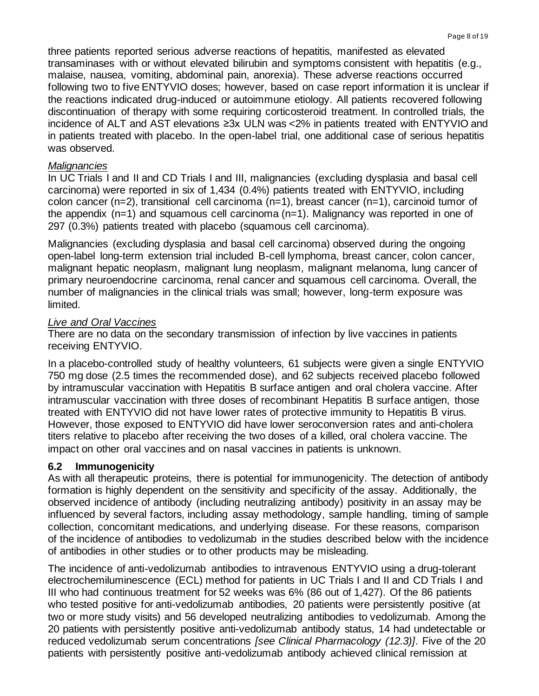three patients reported serious adverse reactions of hepatitis, manifested as elevated transaminases with or without elevated bilirubin and symptoms consistent with hepatitis (e.g., malaise, nausea, vomiting, abdominal pain, anorexia). These adverse reactions occurred following two to five ENTYVIO doses; however, based on case report information it is unclear if the reactions indicated drug-induced or autoimmune etiology. All patients recovered following discontinuation of therapy with some requiring corticosteroid treatment. In controlled trials, the incidence of ALT and AST elevations ≥3x ULN was <2% in patients treated with ENTYVIO and in patients treated with placebo. In the open-label trial, one additional case of serious hepatitis was observed.

### *Malignancies*

In UC Trials I and II and CD Trials I and III, malignancies (excluding dysplasia and basal cell carcinoma) were reported in six of 1,434 (0.4%) patients treated with ENTYVIO, including colon cancer (n=2), transitional cell carcinoma (n=1), breast cancer (n=1), carcinoid tumor of the appendix (n=1) and squamous cell carcinoma (n=1). Malignancy was reported in one of 297 (0.3%) patients treated with placebo (squamous cell carcinoma).

Malignancies (excluding dysplasia and basal cell carcinoma) observed during the ongoing open-label long-term extension trial included B-cell lymphoma, breast cancer, colon cancer, malignant hepatic neoplasm, malignant lung neoplasm, malignant melanoma, lung cancer of primary neuroendocrine carcinoma, renal cancer and squamous cell carcinoma. Overall, the number of malignancies in the clinical trials was small; however, long-term exposure was limited.

### *Live and Oral Vaccines*

There are no data on the secondary transmission of infection by live vaccines in patients receiving ENTYVIO.

In a placebo-controlled study of healthy volunteers, 61 subjects were given a single ENTYVIO 750 mg dose (2.5 times the recommended dose), and 62 subjects received placebo followed by intramuscular vaccination with Hepatitis B surface antigen and oral cholera vaccine. After intramuscular vaccination with three doses of recombinant Hepatitis B surface antigen, those treated with ENTYVIO did not have lower rates of protective immunity to Hepatitis B virus. However, those exposed to ENTYVIO did have lower seroconversion rates and anti-cholera titers relative to placebo after receiving the two doses of a killed, oral cholera vaccine. The impact on other oral vaccines and on nasal vaccines in patients is unknown.

## **6.2 Immunogenicity**

As with all therapeutic proteins, there is potential for immunogenicity. The detection of antibody formation is highly dependent on the sensitivity and specificity of the assay. Additionally, the observed incidence of antibody (including neutralizing antibody) positivity in an assay may be influenced by several factors, including assay methodology, sample handling, timing of sample collection, concomitant medications, and underlying disease. For these reasons, comparison of the incidence of antibodies to vedolizumab in the studies described below with the incidence of antibodies in other studies or to other products may be misleading.

The incidence of anti-vedolizumab antibodies to intravenous ENTYVIO using a drug-tolerant electrochemiluminescence (ECL) method for patients in UC Trials I and II and CD Trials I and III who had continuous treatment for 52 weeks was 6% (86 out of 1,427). Of the 86 patients who tested positive for anti-vedolizumab antibodies, 20 patients were persistently positive (at two or more study visits) and 56 developed neutralizing antibodies to vedolizumab. Among the 20 patients with persistently positive anti-vedolizumab antibody status, 14 had undetectable or reduced vedolizumab serum concentrations *[see Clinical Pharmacology (12.3)]*. Five of the 20 patients with persistently positive anti-vedolizumab antibody achieved clinical remission at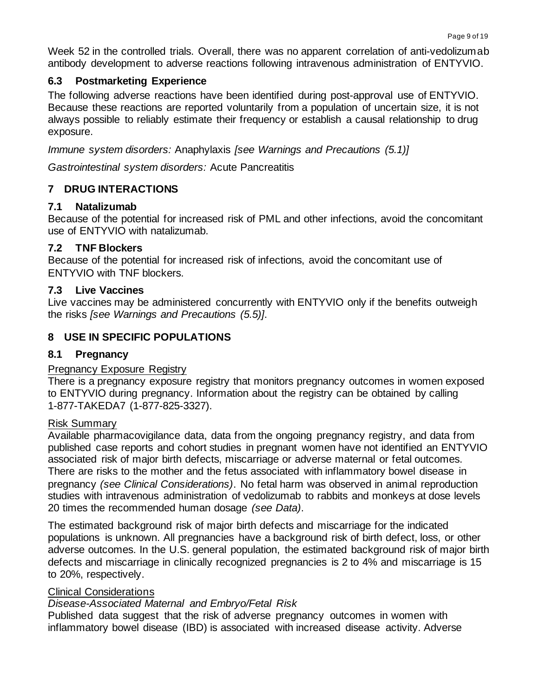Week 52 in the controlled trials. Overall, there was no apparent correlation of anti-vedolizumab antibody development to adverse reactions following intravenous administration of ENTYVIO.

## **6.3 Postmarketing Experience**

The following adverse reactions have been identified during post-approval use of ENTYVIO. Because these reactions are reported voluntarily from a population of uncertain size, it is not always possible to reliably estimate their frequency or establish a causal relationship to drug exposure.

*Immune system disorders:* Anaphylaxis *[see Warnings and Precautions (5.1)]* 

*Gastrointestinal system disorders:* Acute Pancreatitis

# **7 DRUG INTERACTIONS**

## **7.1 Natalizumab**

Because of the potential for increased risk of PML and other infections, avoid the concomitant use of ENTYVIO with natalizumab.

## **7.2 TNF Blockers**

Because of the potential for increased risk of infections, avoid the concomitant use of ENTYVIO with TNF blockers.

## **7.3 Live Vaccines**

Live vaccines may be administered concurrently with ENTYVIO only if the benefits outweigh the risks *[see Warnings and Precautions (5.5)]*.

# **8 USE IN SPECIFIC POPULATIONS**

## **8.1 Pregnancy**

## Pregnancy Exposure Registry

There is a pregnancy exposure registry that monitors pregnancy outcomes in women exposed to ENTYVIO during pregnancy. Information about the registry can be obtained by calling 1-877-TAKEDA7 (1-877-825-3327).

## Risk Summary

Available pharmacovigilance data, data from the ongoing pregnancy registry, and data from published case reports and cohort studies in pregnant women have not identified an ENTYVIO associated risk of major birth defects, miscarriage or adverse maternal or fetal outcomes. There are risks to the mother and the fetus associated with inflammatory bowel disease in pregnancy *(see Clinical Considerations)*. No fetal harm was observed in animal reproduction studies with intravenous administration of vedolizumab to rabbits and monkeys at dose levels 20 times the recommended human dosage *(see Data)*.

The estimated background risk of major birth defects and miscarriage for the indicated populations is unknown. All pregnancies have a background risk of birth defect, loss, or other adverse outcomes. In the U.S. general population, the estimated background risk of major birth defects and miscarriage in clinically recognized pregnancies is 2 to 4% and miscarriage is 15 to 20%, respectively.

## Clinical Considerations

# *Disease-Associated Maternal and Embryo/Fetal Risk*

Published data suggest that the risk of adverse pregnancy outcomes in women with inflammatory bowel disease (IBD) is associated with increased disease activity. Adverse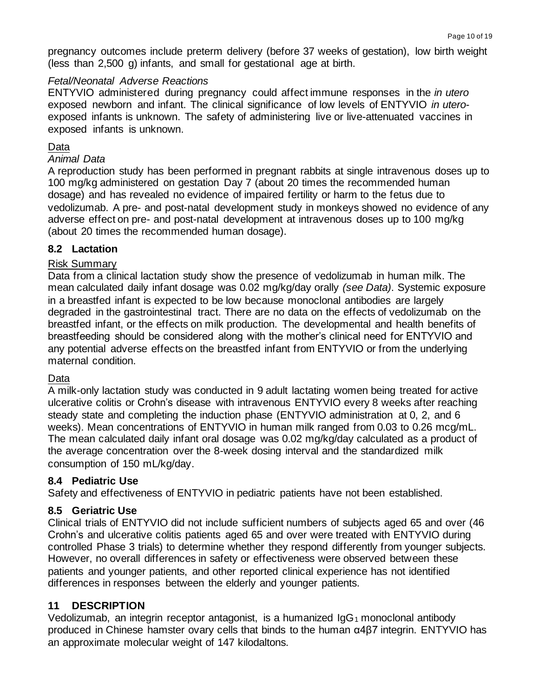pregnancy outcomes include preterm delivery (before 37 weeks of gestation), low birth weight (less than 2,500 g) infants, and small for gestational age at birth.

### *Fetal/Neonatal Adverse Reactions*

ENTYVIO administered during pregnancy could affect immune responses in the *in utero*  exposed newborn and infant. The clinical significance of low levels of ENTYVIO *in utero*exposed infants is unknown. The safety of administering live or live-attenuated vaccines in exposed infants is unknown.

### Data

### *Animal Data*

A reproduction study has been performed in pregnant rabbits at single intravenous doses up to 100 mg/kg administered on gestation Day 7 (about 20 times the recommended human dosage) and has revealed no evidence of impaired fertility or harm to the fetus due to vedolizumab. A pre- and post-natal development study in monkeys showed no evidence of any adverse effect on pre- and post-natal development at intravenous doses up to 100 mg/kg (about 20 times the recommended human dosage).

## **8.2 Lactation**

### Risk Summary

Data from a clinical lactation study show the presence of vedolizumab in human milk. The mean calculated daily infant dosage was 0.02 mg/kg/day orally *(see Data)*. Systemic exposure in a breastfed infant is expected to be low because monoclonal antibodies are largely degraded in the gastrointestinal tract. There are no data on the effects of vedolizumab on the breastfed infant, or the effects on milk production. The developmental and health benefits of breastfeeding should be considered along with the mother's clinical need for ENTYVIO and any potential adverse effects on the breastfed infant from ENTYVIO or from the underlying maternal condition.

#### Data

A milk-only lactation study was conducted in 9 adult lactating women being treated for active ulcerative colitis or Crohn's disease with intravenous ENTYVIO every 8 weeks after reaching steady state and completing the induction phase (ENTYVIO administration at 0, 2, and 6 weeks). Mean concentrations of ENTYVIO in human milk ranged from 0.03 to 0.26 mcg/mL. The mean calculated daily infant oral dosage was 0.02 mg/kg/day calculated as a product of the average concentration over the 8-week dosing interval and the standardized milk consumption of 150 mL/kg/day.

## **8.4 Pediatric Use**

Safety and effectiveness of ENTYVIO in pediatric patients have not been established.

## **8.5 Geriatric Use**

Clinical trials of ENTYVIO did not include sufficient numbers of subjects aged 65 and over (46 Crohn's and ulcerative colitis patients aged 65 and over were treated with ENTYVIO during controlled Phase 3 trials) to determine whether they respond differently from younger subjects. However, no overall differences in safety or effectiveness were observed between these patients and younger patients, and other reported clinical experience has not identified differences in responses between the elderly and younger patients.

## **11 DESCRIPTION**

Vedolizumab, an integrin receptor antagonist, is a humanized  $\log_1$  monoclonal antibody produced in Chinese hamster ovary cells that binds to the human α4β7 integrin. ENTYVIO has an approximate molecular weight of 147 kilodaltons.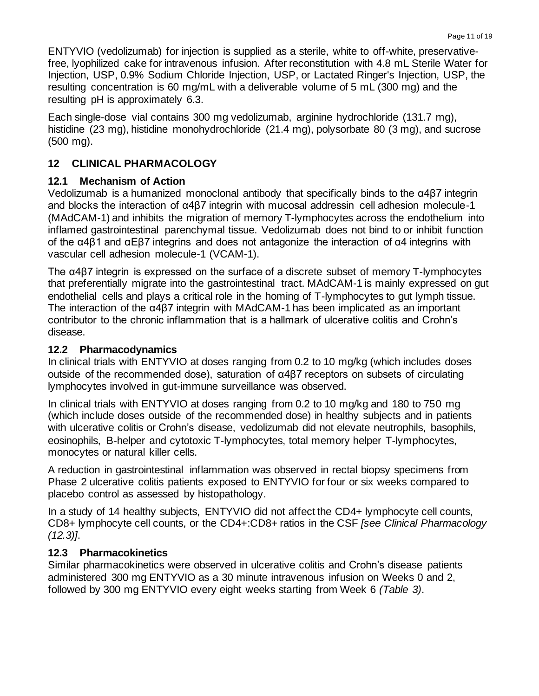ENTYVIO (vedolizumab) for injection is supplied as a sterile, white to off-white, preservativefree, lyophilized cake for intravenous infusion. After reconstitution with 4.8 mL Sterile Water for Injection, USP, 0.9% Sodium Chloride Injection, USP, or Lactated Ringer's Injection, USP, the resulting concentration is 60 mg/mL with a deliverable volume of 5 mL (300 mg) and the resulting pH is approximately 6.3.

Each single-dose vial contains 300 mg vedolizumab, arginine hydrochloride (131.7 mg), histidine (23 mg), histidine monohydrochloride (21.4 mg), polysorbate 80 (3 mg), and sucrose (500 mg).

## **12 CLINICAL PHARMACOLOGY**

## **12.1 Mechanism of Action**

Vedolizumab is a humanized monoclonal antibody that specifically binds to the α4β7 integrin and blocks the interaction of α4β7 integrin with mucosal addressin cell adhesion molecule-1 (MAdCAM-1) and inhibits the migration of memory T-lymphocytes across the endothelium into inflamed gastrointestinal parenchymal tissue. Vedolizumab does not bind to or inhibit function of the α4β1 and αEβ7 integrins and does not antagonize the interaction of α4 integrins with vascular cell adhesion molecule-1 (VCAM-1).

The α4β7 integrin is expressed on the surface of a discrete subset of memory T-lymphocytes that preferentially migrate into the gastrointestinal tract. MAdCAM-1 is mainly expressed on gut endothelial cells and plays a critical role in the homing of T-lymphocytes to gut lymph tissue. The interaction of the  $\alpha$ 4 $\beta$ 7 integrin with MAdCAM-1 has been implicated as an important contributor to the chronic inflammation that is a hallmark of ulcerative colitis and Crohn's disease.

### **12.2 Pharmacodynamics**

In clinical trials with ENTYVIO at doses ranging from 0.2 to 10 mg/kg (which includes doses outside of the recommended dose), saturation of α4β7 receptors on subsets of circulating lymphocytes involved in gut-immune surveillance was observed.

In clinical trials with ENTYVIO at doses ranging from 0.2 to 10 mg/kg and 180 to 750 mg (which include doses outside of the recommended dose) in healthy subjects and in patients with ulcerative colitis or Crohn's disease, vedolizumab did not elevate neutrophils, basophils, eosinophils, B-helper and cytotoxic T-lymphocytes, total memory helper T-lymphocytes, monocytes or natural killer cells.

A reduction in gastrointestinal inflammation was observed in rectal biopsy specimens from Phase 2 ulcerative colitis patients exposed to ENTYVIO for four or six weeks compared to placebo control as assessed by histopathology.

In a study of 14 healthy subjects, ENTYVIO did not affect the CD4+ lymphocyte cell counts, CD8+ lymphocyte cell counts, or the CD4+:CD8+ ratios in the CSF *[see Clinical Pharmacology (12.3)]*.

## **12.3 Pharmacokinetics**

Similar pharmacokinetics were observed in ulcerative colitis and Crohn's disease patients administered 300 mg ENTYVIO as a 30 minute intravenous infusion on Weeks 0 and 2, followed by 300 mg ENTYVIO every eight weeks starting from Week 6 *(Table 3)*.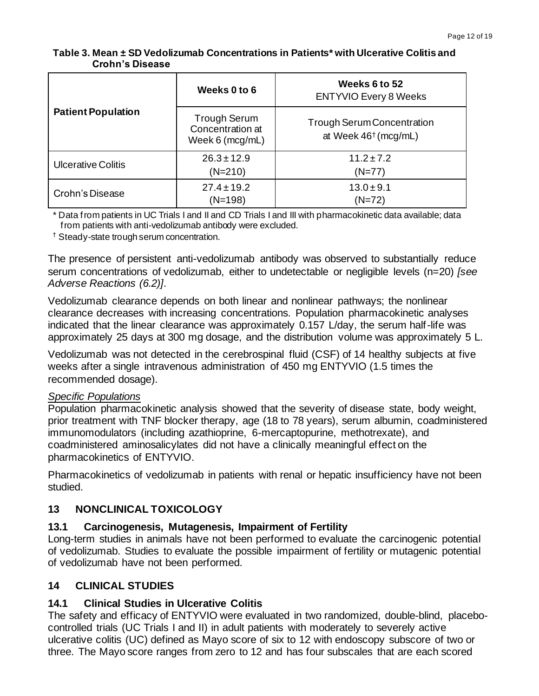| <b>Patient Population</b> | Weeks 0 to 6                                               | Weeks 6 to 52<br><b>ENTYVIO Every 8 Weeks</b>                         |
|---------------------------|------------------------------------------------------------|-----------------------------------------------------------------------|
|                           | <b>Trough Serum</b><br>Concentration at<br>Week 6 (mcg/mL) | <b>Trough Serum Concentration</b><br>at Week 46 <sup>†</sup> (mcg/mL) |
| <b>Ulcerative Colitis</b> | $26.3 \pm 12.9$<br>$(N=210)$                               | $11.2 \pm 7.2$<br>$(N=77)$                                            |
| Crohn's Disease           | $27.4 \pm 19.2$<br>(N=198)                                 | $13.0 \pm 9.1$<br>$(N=72)$                                            |

**Table 3. Mean ± SD Vedolizumab Concentrations in Patients\* with Ulcerative Colitis and Crohn's Disease**

\* Data from patients in UC Trials I and II and CD Trials I and III with pharmacokinetic data available; data from patients with anti-vedolizumab antibody were excluded.

† Steady-state trough serum concentration.

The presence of persistent anti-vedolizumab antibody was observed to substantially reduce serum concentrations of vedolizumab, either to undetectable or negligible levels (n=20) *[see Adverse Reactions (6.2)]*.

Vedolizumab clearance depends on both linear and nonlinear pathways; the nonlinear clearance decreases with increasing concentrations. Population pharmacokinetic analyses indicated that the linear clearance was approximately 0.157 L/day, the serum half-life was approximately 25 days at 300 mg dosage, and the distribution volume was approximately 5 L.

Vedolizumab was not detected in the cerebrospinal fluid (CSF) of 14 healthy subjects at five weeks after a single intravenous administration of 450 mg ENTYVIO (1.5 times the recommended dosage).

#### *Specific Populations*

Population pharmacokinetic analysis showed that the severity of disease state, body weight, prior treatment with TNF blocker therapy, age (18 to 78 years), serum albumin, coadministered immunomodulators (including azathioprine, 6-mercaptopurine, methotrexate), and coadministered aminosalicylates did not have a clinically meaningful effect on the pharmacokinetics of ENTYVIO.

Pharmacokinetics of vedolizumab in patients with renal or hepatic insufficiency have not been studied.

# **13 NONCLINICAL TOXICOLOGY**

## **13.1 Carcinogenesis, Mutagenesis, Impairment of Fertility**

Long-term studies in animals have not been performed to evaluate the carcinogenic potential of vedolizumab. Studies to evaluate the possible impairment of fertility or mutagenic potential of vedolizumab have not been performed.

## **14 CLINICAL STUDIES**

# **14.1 Clinical Studies in Ulcerative Colitis**

The safety and efficacy of ENTYVIO were evaluated in two randomized, double-blind, placebocontrolled trials (UC Trials I and II) in adult patients with moderately to severely active ulcerative colitis (UC) defined as Mayo score of six to 12 with endoscopy subscore of two or three. The Mayo score ranges from zero to 12 and has four subscales that are each scored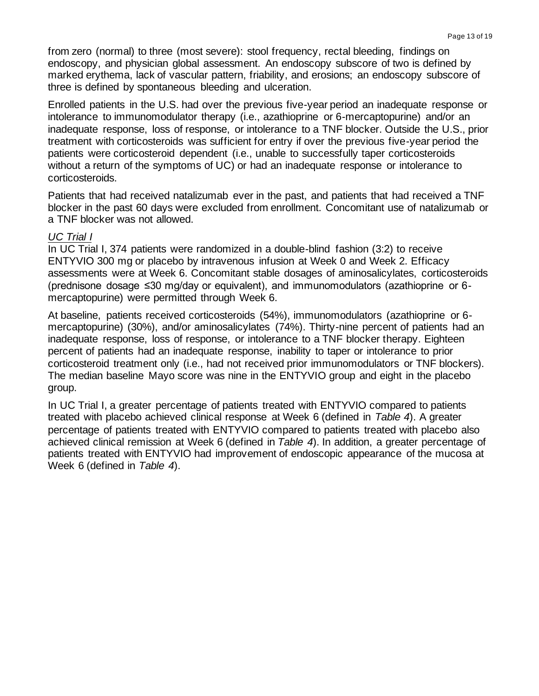from zero (normal) to three (most severe): stool frequency, rectal bleeding, findings on endoscopy, and physician global assessment. An endoscopy subscore of two is defined by marked erythema, lack of vascular pattern, friability, and erosions; an endoscopy subscore of three is defined by spontaneous bleeding and ulceration.

Enrolled patients in the U.S. had over the previous five-year period an inadequate response or intolerance to immunomodulator therapy (i.e., azathioprine or 6-mercaptopurine) and/or an inadequate response, loss of response, or intolerance to a TNF blocker. Outside the U.S., prior treatment with corticosteroids was sufficient for entry if over the previous five-year period the patients were corticosteroid dependent (i.e., unable to successfully taper corticosteroids without a return of the symptoms of UC) or had an inadequate response or intolerance to corticosteroids.

Patients that had received natalizumab ever in the past, and patients that had received a TNF blocker in the past 60 days were excluded from enrollment. Concomitant use of natalizumab or a TNF blocker was not allowed.

#### *UC Trial I*

In UC Trial I, 374 patients were randomized in a double-blind fashion (3:2) to receive ENTYVIO 300 mg or placebo by intravenous infusion at Week 0 and Week 2. Efficacy assessments were at Week 6. Concomitant stable dosages of aminosalicylates, corticosteroids (prednisone dosage ≤30 mg/day or equivalent), and immunomodulators (azathioprine or 6 mercaptopurine) were permitted through Week 6.

At baseline, patients received corticosteroids (54%), immunomodulators (azathioprine or 6 mercaptopurine) (30%), and/or aminosalicylates (74%). Thirty-nine percent of patients had an inadequate response, loss of response, or intolerance to a TNF blocker therapy. Eighteen percent of patients had an inadequate response, inability to taper or intolerance to prior corticosteroid treatment only (i.e., had not received prior immunomodulators or TNF blockers). The median baseline Mayo score was nine in the ENTYVIO group and eight in the placebo group.

In UC Trial I, a greater percentage of patients treated with ENTYVIO compared to patients treated with placebo achieved clinical response at Week 6 (defined in *Table 4*). A greater percentage of patients treated with ENTYVIO compared to patients treated with placebo also achieved clinical remission at Week 6 (defined in *Table 4*). In addition, a greater percentage of patients treated with ENTYVIO had improvement of endoscopic appearance of the mucosa at Week 6 (defined in *Table 4*).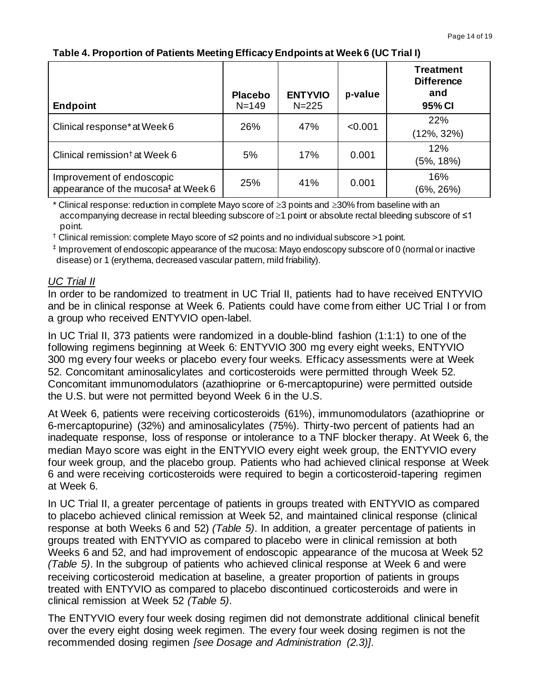### **Table 4. Proportion of Patients Meeting Efficacy Endpoints at Week 6 (UC Trial I)**

| <b>Endpoint</b>                                                              | <b>Placebo</b><br>$N = 149$ | <b>ENTYVIO</b><br>$N = 225$ | p-value | <b>Treatment</b><br><b>Difference</b><br>and<br>95% CI |
|------------------------------------------------------------------------------|-----------------------------|-----------------------------|---------|--------------------------------------------------------|
| Clinical response* at Week 6                                                 | 26%                         | 47%                         | < 0.001 | 22%<br>(12%, 32%)                                      |
| Clinical remission <sup>†</sup> at Week 6                                    | 5%                          | 17%                         | 0.001   | 12%<br>(5%, 18%)                                       |
| Improvement of endoscopic<br>appearance of the mucosa <sup>‡</sup> at Week 6 | 25%                         | 41%                         | 0.001   | 16%<br>(6%, 26%)                                       |

\* Clinical response: reduction in complete Mayo score of  $\geq$ 3 points and  $\geq$ 30% from baseline with an accompanying decrease in rectal bleeding subscore of ≥1 point or absolute rectal bleeding subscore of ≤1 point.

† Clinical remission: complete Mayo score of ≤2 points and no individual subscore >1 point.

‡ Improvement of endoscopic appearance of the mucosa: Mayo endoscopy subscore of 0 (normal or inactive disease) or 1 (erythema, decreased vascular pattern, mild friability).

## *UC Trial II*

In order to be randomized to treatment in UC Trial II, patients had to have received ENTYVIO and be in clinical response at Week 6. Patients could have come from either UC Trial I or from a group who received ENTYVIO open-label.

In UC Trial II, 373 patients were randomized in a double-blind fashion (1:1:1) to one of the following regimens beginning at Week 6: ENTYVIO 300 mg every eight weeks, ENTYVIO 300 mg every four weeks or placebo every four weeks. Efficacy assessments were at Week 52. Concomitant aminosalicylates and corticosteroids were permitted through Week 52. Concomitant immunomodulators (azathioprine or 6-mercaptopurine) were permitted outside the U.S. but were not permitted beyond Week 6 in the U.S.

At Week 6, patients were receiving corticosteroids (61%), immunomodulators (azathioprine or 6-mercaptopurine) (32%) and aminosalicylates (75%). Thirty-two percent of patients had an inadequate response, loss of response or intolerance to a TNF blocker therapy. At Week 6, the median Mayo score was eight in the ENTYVIO every eight week group, the ENTYVIO every four week group, and the placebo group. Patients who had achieved clinical response at Week 6 and were receiving corticosteroids were required to begin a corticosteroid-tapering regimen at Week 6.

In UC Trial II, a greater percentage of patients in groups treated with ENTYVIO as compared to placebo achieved clinical remission at Week 52, and maintained clinical response (clinical response at both Weeks 6 and 52) *(Table 5)*. In addition, a greater percentage of patients in groups treated with ENTYVIO as compared to placebo were in clinical remission at both Weeks 6 and 52, and had improvement of endoscopic appearance of the mucosa at Week 52 *(Table 5)*. In the subgroup of patients who achieved clinical response at Week 6 and were receiving corticosteroid medication at baseline, a greater proportion of patients in groups treated with ENTYVIO as compared to placebo discontinued corticosteroids and were in clinical remission at Week 52 *(Table 5)*.

The ENTYVIO every four week dosing regimen did not demonstrate additional clinical benefit over the every eight dosing week regimen. The every four week dosing regimen is not the recommended dosing regimen *[see Dosage and Administration (2.3)]*.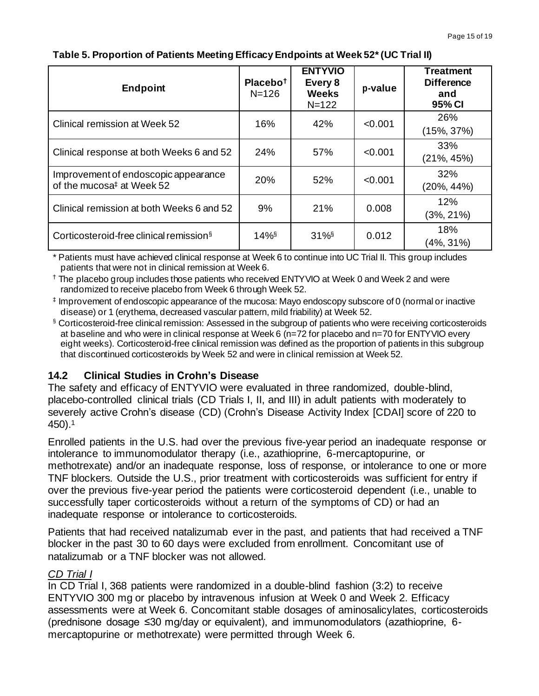| <b>Endpoint</b>                                                               | Placebo <sup>+</sup><br>$N = 126$ | <b>ENTYVIO</b><br>Every 8<br><b>Weeks</b><br>$N = 122$ | p-value | <b>Treatment</b><br><b>Difference</b><br>and<br>95% CI |
|-------------------------------------------------------------------------------|-----------------------------------|--------------------------------------------------------|---------|--------------------------------------------------------|
| Clinical remission at Week 52                                                 | 16%                               | 42%                                                    | < 0.001 | 26%<br>$(15\%, 37\%)$                                  |
| Clinical response at both Weeks 6 and 52                                      | 24%                               | 57%                                                    | < 0.001 | 33%<br>$(21\%, 45\%)$                                  |
| Improvement of endoscopic appearance<br>of the mucosa <sup>‡</sup> at Week 52 | 20%                               | 52%                                                    | < 0.001 | 32%<br>$(20\%, 44\%)$                                  |
| Clinical remission at both Weeks 6 and 52                                     | 9%                                | 21%                                                    | 0.008   | 12%<br>$(3\%, 21\%)$                                   |
| Corticosteroid-free clinical remission <sup>§</sup>                           | $14\%$                            | $31\%$                                                 | 0.012   | 18%<br>(4%, 31%)                                       |

### **Table 5. Proportion of Patients Meeting Efficacy Endpoints at Week 52\*(UC Trial II)**

\* Patients must have achieved clinical response at Week 6 to continue into UC Trial II. This group includes patients that were not in clinical remission at Week 6.

† The placebo group includes those patients who received ENTYVIO at Week 0 and Week 2 and were randomized to receive placebo from Week 6 through Week 52.

‡ Improvement of endoscopic appearance of the mucosa: Mayo endoscopy subscore of 0 (normal or inactive disease) or 1 (erythema, decreased vascular pattern, mild friability) at Week 52.

§ Corticosteroid-free clinical remission: Assessed in the subgroup of patients who were receiving corticosteroids at baseline and who were in clinical response at Week 6 (n=72 for placebo and n=70 for ENTYVIO every eight weeks). Corticosteroid-free clinical remission was defined as the proportion of patients in this subgroup that discontinued corticosteroids by Week 52 and were in clinical remission at Week 52.

# **14.2 Clinical Studies in Crohn's Disease**

The safety and efficacy of ENTYVIO were evaluated in three randomized, double-blind, placebo-controlled clinical trials (CD Trials I, II, and III) in adult patients with moderately to severely active Crohn's disease (CD) (Crohn's Disease Activity Index [CDAI] score of 220 to 450).<sup>1</sup>

Enrolled patients in the U.S. had over the previous five-year period an inadequate response or intolerance to immunomodulator therapy (i.e., azathioprine, 6-mercaptopurine, or methotrexate) and/or an inadequate response, loss of response, or intolerance to one or more TNF blockers. Outside the U.S., prior treatment with corticosteroids was sufficient for entry if over the previous five-year period the patients were corticosteroid dependent (i.e., unable to successfully taper corticosteroids without a return of the symptoms of CD) or had an inadequate response or intolerance to corticosteroids.

Patients that had received natalizumab ever in the past, and patients that had received a TNF blocker in the past 30 to 60 days were excluded from enrollment. Concomitant use of natalizumab or a TNF blocker was not allowed.

## *CD Trial I*

In CD Trial I, 368 patients were randomized in a double-blind fashion (3:2) to receive ENTYVIO 300 mg or placebo by intravenous infusion at Week 0 and Week 2. Efficacy assessments were at Week 6. Concomitant stable dosages of aminosalicylates, corticosteroids (prednisone dosage ≤30 mg/day or equivalent), and immunomodulators (azathioprine, 6 mercaptopurine or methotrexate) were permitted through Week 6.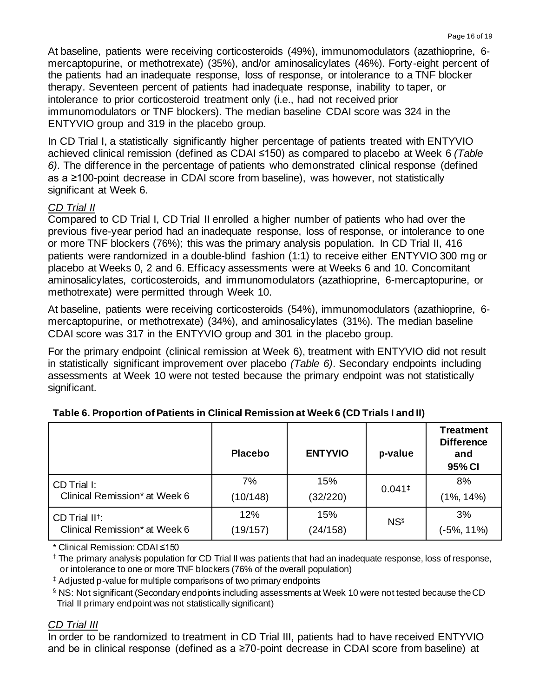At baseline, patients were receiving corticosteroids (49%), immunomodulators (azathioprine, 6 mercaptopurine, or methotrexate) (35%), and/or aminosalicylates (46%). Forty-eight percent of the patients had an inadequate response, loss of response, or intolerance to a TNF blocker therapy. Seventeen percent of patients had inadequate response, inability to taper, or intolerance to prior corticosteroid treatment only (i.e., had not received prior immunomodulators or TNF blockers). The median baseline CDAI score was 324 in the ENTYVIO group and 319 in the placebo group.

In CD Trial I, a statistically significantly higher percentage of patients treated with ENTYVIO achieved clinical remission (defined as CDAI ≤150) as compared to placebo at Week 6 *(Table 6)*. The difference in the percentage of patients who demonstrated clinical response (defined as a ≥100-point decrease in CDAI score from baseline), was however, not statistically significant at Week 6.

# *CD Trial II*

Compared to CD Trial I, CD Trial II enrolled a higher number of patients who had over the previous five-year period had an inadequate response, loss of response, or intolerance to one or more TNF blockers (76%); this was the primary analysis population. In CD Trial II, 416 patients were randomized in a double-blind fashion (1:1) to receive either ENTYVIO 300 mg or placebo at Weeks 0, 2 and 6. Efficacy assessments were at Weeks 6 and 10. Concomitant aminosalicylates, corticosteroids, and immunomodulators (azathioprine, 6-mercaptopurine, or methotrexate) were permitted through Week 10.

At baseline, patients were receiving corticosteroids (54%), immunomodulators (azathioprine, 6 mercaptopurine, or methotrexate) (34%), and aminosalicylates (31%). The median baseline CDAI score was 317 in the ENTYVIO group and 301 in the placebo group.

For the primary endpoint (clinical remission at Week 6), treatment with ENTYVIO did not result in statistically significant improvement over placebo *(Table 6)*. Secondary endpoints including assessments at Week 10 were not tested because the primary endpoint was not statistically significant.

|                               | <b>Placebo</b> | <b>ENTYVIO</b> | p-value              | <b>Treatment</b><br><b>Difference</b><br>and<br>95% CI |
|-------------------------------|----------------|----------------|----------------------|--------------------------------------------------------|
| CD Trial I:                   | 7%             | 15%            | $0.041$ <sup>‡</sup> | 8%                                                     |
| Clinical Remission* at Week 6 | (10/148)       | (32/220)       |                      | $(1\%, 14\%)$                                          |
| CD Trial II <sup>t</sup> :    | 12%            | 15%            | <b>NSS</b>           | 3%                                                     |
| Clinical Remission* at Week 6 | (19/157)       | (24/158)       |                      | $(-5\%, 11\%)$                                         |

**Table 6. Proportion of Patients in Clinical Remission at Week 6 (CD Trials I and II)**

\* Clinical Remission: CDAI ≤150

† The primary analysis population for CD Trial II was patients that had an inadequate response, loss of response, or intolerance to one or more TNF blockers (76% of the overall population)

‡ Adjusted p-value for multiple comparisons of two primary endpoints

§ NS: Not significant (Secondary endpoints including assessments at Week 10 were not tested because theCD Trial II primary endpoint was not statistically significant)

## *CD Trial III*

In order to be randomized to treatment in CD Trial III, patients had to have received ENTYVIO and be in clinical response (defined as a ≥70-point decrease in CDAI score from baseline) at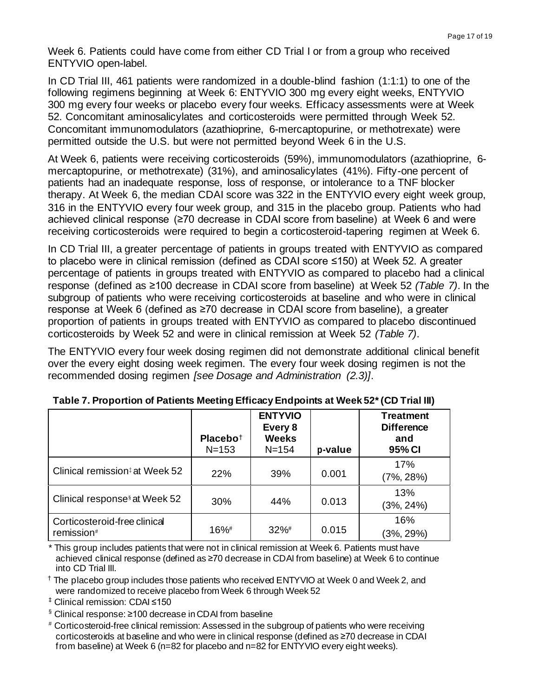Week 6. Patients could have come from either CD Trial I or from a group who received ENTYVIO open-label.

In CD Trial III, 461 patients were randomized in a double-blind fashion (1:1:1) to one of the following regimens beginning at Week 6: ENTYVIO 300 mg every eight weeks, ENTYVIO 300 mg every four weeks or placebo every four weeks. Efficacy assessments were at Week 52. Concomitant aminosalicylates and corticosteroids were permitted through Week 52. Concomitant immunomodulators (azathioprine, 6-mercaptopurine, or methotrexate) were permitted outside the U.S. but were not permitted beyond Week 6 in the U.S.

At Week 6, patients were receiving corticosteroids (59%), immunomodulators (azathioprine, 6 mercaptopurine, or methotrexate) (31%), and aminosalicylates (41%). Fifty-one percent of patients had an inadequate response, loss of response, or intolerance to a TNF blocker therapy. At Week 6, the median CDAI score was 322 in the ENTYVIO every eight week group, 316 in the ENTYVIO every four week group, and 315 in the placebo group. Patients who had achieved clinical response (≥70 decrease in CDAI score from baseline) at Week 6 and were receiving corticosteroids were required to begin a corticosteroid-tapering regimen at Week 6.

In CD Trial III, a greater percentage of patients in groups treated with ENTYVIO as compared to placebo were in clinical remission (defined as CDAI score ≤150) at Week 52. A greater percentage of patients in groups treated with ENTYVIO as compared to placebo had a clinical response (defined as ≥100 decrease in CDAI score from baseline) at Week 52 *(Table 7)*. In the subgroup of patients who were receiving corticosteroids at baseline and who were in clinical response at Week 6 (defined as ≥70 decrease in CDAI score from baseline), a greater proportion of patients in groups treated with ENTYVIO as compared to placebo discontinued corticosteroids by Week 52 and were in clinical remission at Week 52 *(Table 7)*.

The ENTYVIO every four week dosing regimen did not demonstrate additional clinical benefit over the every eight dosing week regimen. The every four week dosing regimen is not the recommended dosing regimen *[see Dosage and Administration (2.3)]*.

|                                            | Placebo <sup>+</sup><br>$N = 153$ | <b>ENTYVIO</b><br>Every 8<br><b>Weeks</b><br>$N = 154$ | p-value | <b>Treatment</b><br><b>Difference</b><br>and<br>95% CI |
|--------------------------------------------|-----------------------------------|--------------------------------------------------------|---------|--------------------------------------------------------|
| Clinical remission <sup>#</sup> at Week 52 | 22%                               | 39%                                                    | 0.001   | 17%<br>$(7\%, 28\%)$                                   |
| Clinical response <sup>§</sup> at Week 52  | 30%                               | 44%                                                    | 0.013   | 13%<br>$(3\%, 24\%)$                                   |
| Corticosteroid-free clinical<br>remission# | $16\%$ <sup>#</sup>               | $32\%$ <sup>#</sup>                                    | 0.015   | 16%<br>$(3\%, 29\%)$                                   |

| Table 7. Proportion of Patients Meeting Efficacy Endpoints at Week 52* (CD Trial III) |  |  |
|---------------------------------------------------------------------------------------|--|--|
|---------------------------------------------------------------------------------------|--|--|

This group includes patients that were not in clinical remission at Week 6. Patients must have achieved clinical response (defined as ≥70 decrease in CDAI from baseline) at Week 6 to continue into CD Trial III.

† The placebo group includes those patients who received ENTYVIO at Week 0 and Week 2, and were randomized to receive placebo from Week 6 through Week 52

‡ Clinical remission: CDAI ≤150

§ Clinical response: ≥100 decrease inCDAI from baseline

# Corticosteroid-free clinical remission: Assessed in the subgroup of patients who were receiving corticosteroids at baseline and who were in clinical response (defined as ≥70 decrease in CDAI from baseline) at Week 6 (n=82 for placebo and n=82 for ENTYVIO every eight weeks).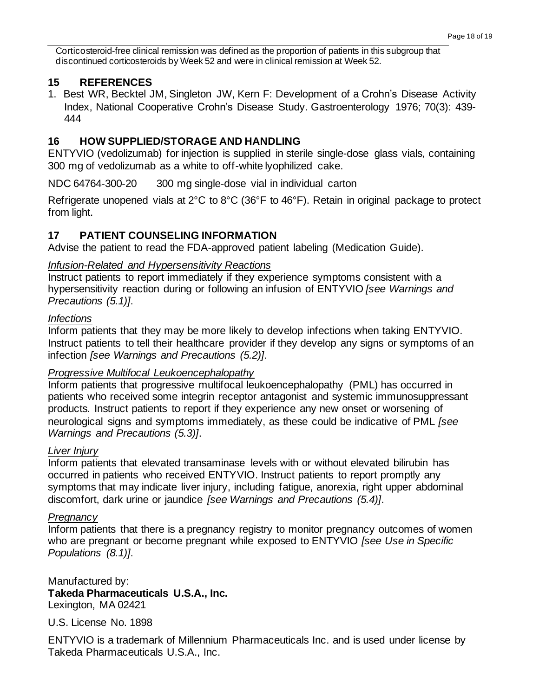Corticosteroid-free clinical remission was defined as the proportion of patients in this subgroup that discontinued corticosteroids by Week 52 and were in clinical remission at Week 52.

## **15 REFERENCES**

1. Best WR, Becktel JM, Singleton JW, Kern F: Development of a Crohn's Disease Activity Index, National Cooperative Crohn's Disease Study. Gastroenterology 1976; 70(3): 439- 444

## **16 HOW SUPPLIED/STORAGE AND HANDLING**

ENTYVIO (vedolizumab) for injection is supplied in sterile single-dose glass vials, containing 300 mg of vedolizumab as a white to off-white lyophilized cake.

NDC 64764-300-20 300 mg single-dose vial in individual carton

Refrigerate unopened vials at 2°C to 8°C (36°F to 46°F). Retain in original package to protect from light.

## **17 PATIENT COUNSELING INFORMATION**

Advise the patient to read the FDA-approved patient labeling (Medication Guide).

## *Infusion-Related and Hypersensitivity Reactions*

Instruct patients to report immediately if they experience symptoms consistent with a hypersensitivity reaction during or following an infusion of ENTYVIO *[see Warnings and Precautions (5.1)]*.

### *Infections*

Inform patients that they may be more likely to develop infections when taking ENTYVIO. Instruct patients to tell their healthcare provider if they develop any signs or symptoms of an infection *[see Warnings and Precautions (5.2)]*.

## *Progressive Multifocal Leukoencephalopathy*

Inform patients that progressive multifocal leukoencephalopathy (PML) has occurred in patients who received some integrin receptor antagonist and systemic immunosuppressant products. Instruct patients to report if they experience any new onset or worsening of neurological signs and symptoms immediately, as these could be indicative of PML *[see Warnings and Precautions (5.3)]*.

## *Liver Injury*

Inform patients that elevated transaminase levels with or without elevated bilirubin has occurred in patients who received ENTYVIO. Instruct patients to report promptly any symptoms that may indicate liver injury, including fatigue, anorexia, right upper abdominal discomfort, dark urine or jaundice *[see Warnings and Precautions (5.4)]*.

## *Pregnancy*

Inform patients that there is a pregnancy registry to monitor pregnancy outcomes of women who are pregnant or become pregnant while exposed to ENTYVIO *[see Use in Specific Populations (8.1)]*.

Manufactured by: **Takeda Pharmaceuticals U.S.A., Inc.** Lexington, MA 02421

U.S. License No. 1898

ENTYVIO is a trademark of Millennium Pharmaceuticals Inc. and is used under license by Takeda Pharmaceuticals U.S.A., Inc.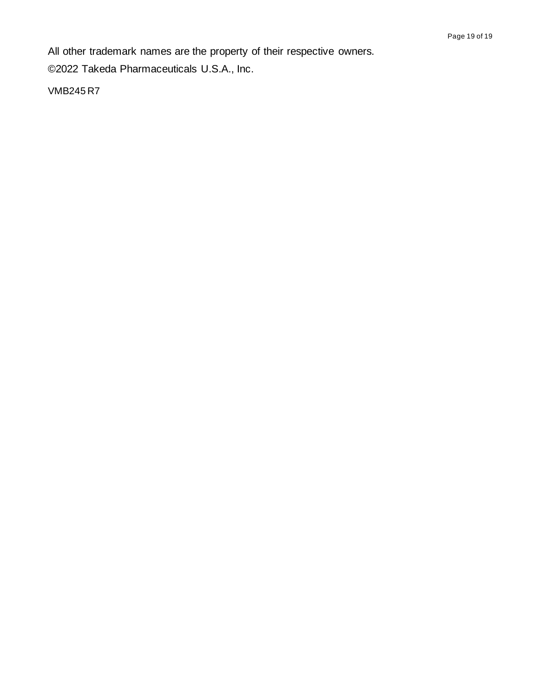All other trademark names are the property of their respective owners.

©2022 Takeda Pharmaceuticals U.S.A., Inc.

VMB245 R7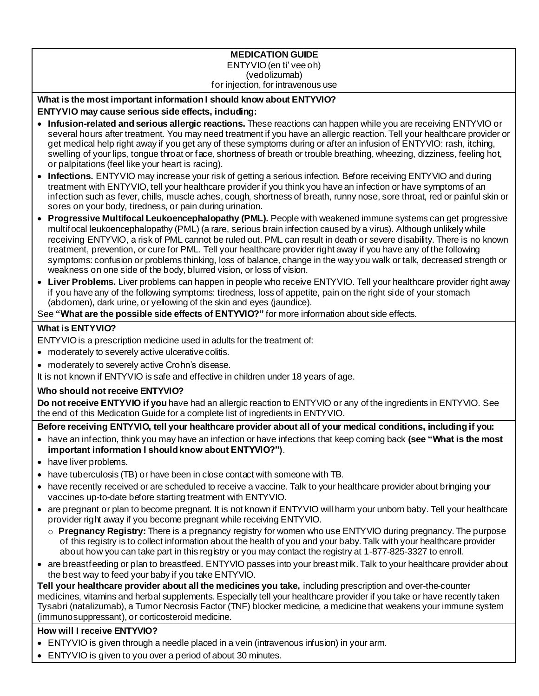#### **MEDICATION GUIDE** ENTYVIO (en ti' vee oh) (vedolizumab) for injection, for intravenous use

### **What is the most important information I should know about ENTYVIO?**

### **ENTYVIO may cause serious side effects, including:**

- **Infusion-related and serious allergic reactions.** These reactions can happen while you are receiving ENTYVIO or several hours after treatment. You may need treatment if you have an allergic reaction. Tell your healthcare provider or get medical help right away if you get any of these symptoms during or after an infusion of ENTYVIO: rash, itching, swelling of your lips, tongue throat or face, shortness of breath or trouble breathing, wheezing, dizziness, feeling hot, or palpitations (feel like your heart is racing).
- **Infections.** ENTYVIO may increase your risk of getting a serious infection. Before receiving ENTYVIO and during treatment with ENTYVIO, tell your healthcare provider if you think you have an infection or have symptoms of an infection such as fever, chills, muscle aches, cough, shortness of breath, runny nose, sore throat, red or painful skin or sores on your body, tiredness, or pain during urination.
- **Progressive Multifocal Leukoencephalopathy (PML).** People with weakened immune systems can get progressive multifocal leukoencephalopathy (PML) (a rare, serious brain infection caused by a virus). Although unlikely while receiving ENTYVIO, a risk of PML cannot be ruled out. PML can result in death or severe disability. There is no known treatment, prevention, or cure for PML. Tell your healthcare provider right away if you have any of the following symptoms: confusion or problems thinking, loss of balance, change in the way you walk or talk, decreased strength or weakness on one side of the body, blurred vision, or loss of vision.
- **Liver Problems.** Liver problems can happen in people who receive ENTYVIO. Tell your healthcare provider right away if you have any of the following symptoms: tiredness, loss of appetite, pain on the right side of your stomach (abdomen), dark urine, or yellowing of the skin and eyes (jaundice).

See **"What are the possible side effects of ENTYVIO?"** for more information about side effects.

### **What is ENTYVIO?**

ENTYVIO is a prescription medicine used in adults for the treatment of:

- moderately to severely active ulcerative colitis.
- moderately to severely active Crohn's disease.

It is not known if ENTYVIO is safe and effective in children under 18 years of age.

## **Who should not receive ENTYVIO?**

**Do not receive ENTYVIO if you** have had an allergic reaction to ENTYVIO or any of the ingredients in ENTYVIO. See the end of this Medication Guide for a complete list of ingredients in ENTYVIO.

**Before receiving ENTYVIO, tell your healthcare provider about all of your medical conditions, including if you:**

- have an infection, think you may have an infection or have infections that keep coming back **(see "What is the most important information I should know about ENTYVIO?")**.
- have liver problems.
- have tuberculosis (TB) or have been in close contact with someone with TB.
- have recently received or are scheduled to receive a vaccine. Talk to your healthcare provider about bringing your vaccines up-to-date before starting treatment with ENTYVIO.
- are pregnant or plan to become pregnant. It is not known if ENTYVIO will harm your unborn baby. Tell your healthcare provider right away if you become pregnant while receiving ENTYVIO.
	- o **Pregnancy Registry:** There is a pregnancy registry for women who use ENTYVIO during pregnancy. The purpose of this registry is to collect information about the health of you and your baby. Talk with your healthcare provider about how you can take part in this registry or you may contact the registry at 1-877-825-3327 to enroll.
- are breastfeeding or plan to breastfeed. ENTYVIO passes into your breast milk. Talk to your healthcare provider about the best way to feed your baby if you take ENTYVIO.

**Tell your healthcare provider about all the medicines you take,** including prescription and over-the-counter medicines, vitamins and herbal supplements. Especially tell your healthcare provider if you take or have recently taken Tysabri (natalizumab), a Tumor Necrosis Factor (TNF) blocker medicine, a medicine that weakens your immune system (immunosuppressant), or corticosteroid medicine.

# **How will I receive ENTYVIO?**

- ENTYVIO is given through a needle placed in a vein (intravenous infusion) in your arm.
- ENTYVIO is given to you over a period of about 30 minutes.